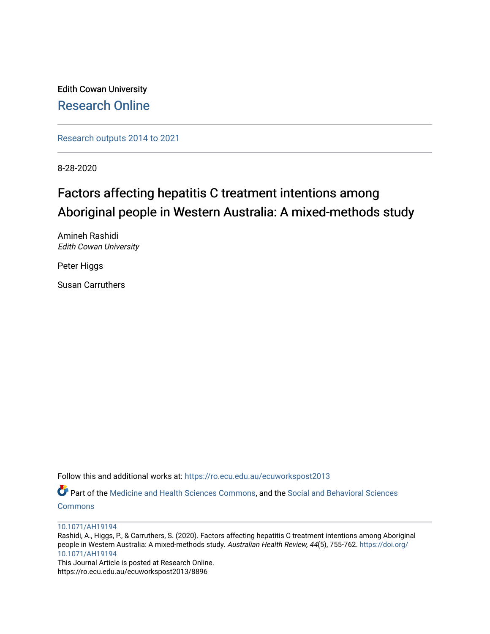Edith Cowan University [Research Online](https://ro.ecu.edu.au/) 

[Research outputs 2014 to 2021](https://ro.ecu.edu.au/ecuworkspost2013) 

8-28-2020

# Factors affecting hepatitis C treatment intentions among Aboriginal people in Western Australia: A mixed-methods study

Amineh Rashidi Edith Cowan University

Peter Higgs

Susan Carruthers

Follow this and additional works at: [https://ro.ecu.edu.au/ecuworkspost2013](https://ro.ecu.edu.au/ecuworkspost2013?utm_source=ro.ecu.edu.au%2Fecuworkspost2013%2F8896&utm_medium=PDF&utm_campaign=PDFCoverPages) 

Part of the [Medicine and Health Sciences Commons,](http://network.bepress.com/hgg/discipline/648?utm_source=ro.ecu.edu.au%2Fecuworkspost2013%2F8896&utm_medium=PDF&utm_campaign=PDFCoverPages) and the [Social and Behavioral Sciences](http://network.bepress.com/hgg/discipline/316?utm_source=ro.ecu.edu.au%2Fecuworkspost2013%2F8896&utm_medium=PDF&utm_campaign=PDFCoverPages) [Commons](http://network.bepress.com/hgg/discipline/316?utm_source=ro.ecu.edu.au%2Fecuworkspost2013%2F8896&utm_medium=PDF&utm_campaign=PDFCoverPages)

[10.1071/AH19194](http://dx.doi.org/10.1071/AH19194) 

Rashidi, A., Higgs, P., & Carruthers, S. (2020). Factors affecting hepatitis C treatment intentions among Aboriginal people in Western Australia: A mixed-methods study. Australian Health Review, 44(5), 755-762. [https://doi.org/](https://doi.org/10.1071/AH19194) [10.1071/AH19194](https://doi.org/10.1071/AH19194) 

This Journal Article is posted at Research Online. https://ro.ecu.edu.au/ecuworkspost2013/8896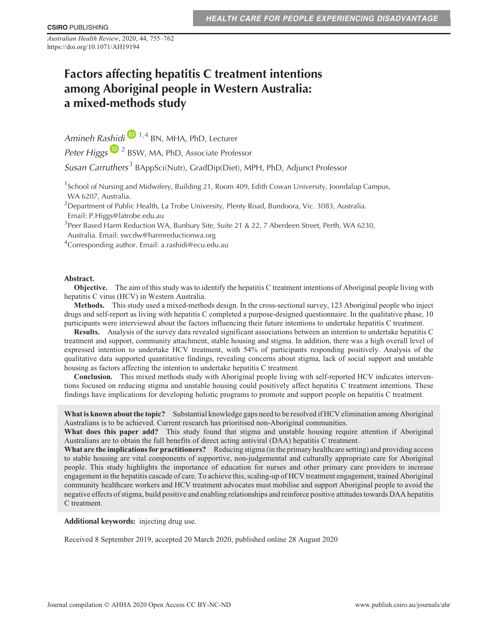*Australian Health Review*, 2020, 44, 755–762 https://doi.org/10.1071/AH19194

## Factors affecting hepatitis C treatment intentions among Aboriginal people in Western Australia: a mixed-methods study

Amineh Rashidi  $\mathbf{D}^{1,4}$  BN, MHA, PhD, Lecturer

Peter Higgs  $\mathbb{D}^2$  BSW, MA, PhD, Associate Professor

Susan Carruthers<sup>3</sup> BAppSci(Nutr), GradDip(Diet), MPH, PhD, Adjunct Professor

<sup>1</sup>School of Nursing and Midwifery, Building 21, Room 409, Edith Cowan University, Joondalup Campus, WA 6207, Australia.

 $^{2}$ Department of Public Health, La Trobe University, Plenty Road, Bundoora, Vic. 3083, Australia. Email: P.Higgs@latrobe.edu.au

 $3$ Peer Based Harm Reduction WA, Bunbury Site, Suite 21 & 22, 7 Aberdeen Street, Perth, WA 6230, Australia. Email: swcdw@harmreductionwa.org

4 Corresponding author. Email: a.rashidi@ecu.edu.au

## Abstract.

**Objective.** The aim of this study was to identify the hepatitis C treatment intentions of Aboriginal people living with hepatitis C virus (HCV) in Western Australia.

**Methods.** This study used a mixed-methods design. In the cross-sectional survey, 123 Aboriginal people who inject drugs and self-report as living with hepatitis C completed a purpose-designed questionnaire. In the qualitative phase, 10 participants were interviewed about the factors influencing their future intentions to undertake hepatitis C treatment.

**Results.** Analysis of the survey data revealed significant associations between an intention to undertake hepatitis C treatment and support, community attachment, stable housing and stigma. In addition, there was a high overall level of expressed intention to undertake HCV treatment, with 54% of participants responding positively. Analysis of the qualitative data supported quantitative findings, revealing concerns about stigma, lack of social support and unstable housing as factors affecting the intention to undertake hepatitis C treatment.

**Conclusion.** This mixed methods study with Aboriginal people living with self-reported HCV indicates interventions focused on reducing stigma and unstable housing could positively affect hepatitis C treatment intentions. These findings have implications for developing holistic programs to promote and support people on hepatitis C treatment.

**What is known about the topic?** Substantial knowledge gaps need to be resolved if HCV elimination among Aboriginal Australians is to be achieved. Current research has prioritised non-Aboriginal communities.

**What does this paper add?** This study found that stigma and unstable housing require attention if Aboriginal Australians are to obtain the full benefits of direct acting antiviral (DAA) hepatitis C treatment.

**What are the implications for practitioners?** Reducing stigma (in the primary healthcare setting) and providing access to stable housing are vital components of supportive, non-judgemental and culturally appropriate care for Aboriginal people. This study highlights the importance of education for nurses and other primary care providers to increase engagement in the hepatitis cascade of care. To achieve this, scaling-up of HCV treatment engagement, trained Aboriginal community healthcare workers and HCV treatment advocates must mobilise and support Aboriginal people to avoid the negative effects of stigma, build positive and enabling relationships and reinforce positive attitudes towards DAA hepatitis C treatment.

Additional keywords: injecting drug use.

Received 8 September 2019, accepted 20 March 2020, published online 28 August 2020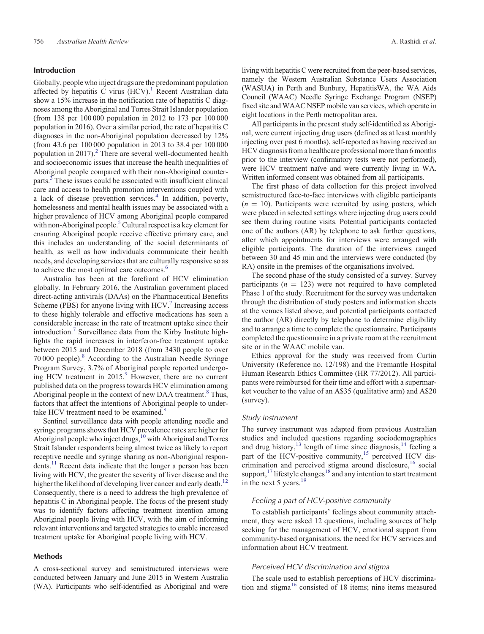## Introduction

Globally, people who inject drugs are the predominant population affected by hepatitis C virus (HCV).<sup>1</sup> Recent Australian data show a 15% increase in the notification rate of hepatitis C diagnoses among the Aboriginal and Torres Strait Islander population (from 138 per 100 000 population in 2012 to 173 per 100 000 population in 2016). Over a similar period, the rate of hepatitis C diagnoses in the non-Aboriginal population decreased by 12% (from 43.6 per 100 000 population in 2013 to 38.4 per 100 000 population in  $2017$ ).<sup>2</sup> There are several well-documented health and socioeconomic issues that increase the health inequalities of Aboriginal people compared with their non-Aboriginal counterparts[.3](#page-7-0) These issues could be associated with insufficient clinical care and access to health promotion interventions coupled with a lack of disease prevention services. $4$  In addition, poverty, homelessness and mental health issues may be associated with a higher prevalence of HCV among Aboriginal people compared with non-Aboriginal people.<sup>5</sup> Cultural respect is a key element for ensuring Aboriginal people receive effective primary care, and this includes an understanding of the social determinants of health, as well as how individuals communicate their health needs, and developing services that are culturally responsive so as to achieve the most optimal care outcomes.<sup>6</sup>

Australia has been at the forefront of HCV elimination globally. In February 2016, the Australian government placed direct-acting antivirals (DAAs) on the Pharmaceutical Benefits Scheme (PBS) for anyone living with  $HCV$ .<sup>7</sup> Increasing access to these highly tolerable and effective medications has seen a considerable increase in the rate of treatment uptake since their introduction.<sup>[7](#page-7-0)</sup> Surveillance data from the Kirby Institute highlights the rapid increases in interferon-free treatment uptake between 2015 and December 2018 (from 3430 people to over 70 000 people).[8](#page-7-0) According to the Australian Needle Syringe Program Survey, 3.7% of Aboriginal people reported undergoing HCV treatment in 2015.<sup>9</sup> However, there are no current published data on the progress towards HCV elimination among Aboriginal people in the context of new DAA treatment.<sup>[8](#page-7-0)</sup> Thus, factors that affect the intentions of Aboriginal people to undertake HCV treatment need to be examined. $8$ 

Sentinel surveillance data with people attending needle and syringe programs shows that HCV prevalence rates are higher for Aboriginal people who inject drugs,<sup>10</sup> with Aboriginal and Torres Strait Islander respondents being almost twice as likely to report receptive needle and syringe sharing as non-Aboriginal respondents.<sup>11</sup> Recent data indicate that the longer a person has been living with HCV, the greater the severity of liver disease and the higher the likelihood of developing liver cancer and early death.<sup>[12](#page-7-0)</sup> Consequently, there is a need to address the high prevalence of hepatitis C in Aboriginal people. The focus of the present study was to identify factors affecting treatment intention among Aboriginal people living with HCV, with the aim of informing relevant interventions and targeted strategies to enable increased treatment uptake for Aboriginal people living with HCV.

#### **Methods**

A cross-sectional survey and semistructured interviews were conducted between January and June 2015 in Western Australia (WA). Participants who self-identified as Aboriginal and were

living with hepatitis C were recruited from the peer-based services, namely the Western Australian Substance Users Association (WASUA) in Perth and Bunbury, HepatitisWA, the WA Aids Council (WAAC) Needle Syringe Exchange Program (NSEP) fixed site and WAAC NSEP mobile van services, which operate in eight locations in the Perth metropolitan area.

All participants in the present study self-identified as Aboriginal, were current injecting drug users (defined as at least monthly injecting over past 6 months), self-reported as having received an HCV diagnosis from a healthcare professional more than 6 months prior to the interview (confirmatory tests were not performed), were HCV treatment naïve and were currently living in WA. Written informed consent was obtained from all participants.

The first phase of data collection for this project involved semistructured face-to-face interviews with eligible participants  $(n = 10)$ . Participants were recruited by using posters, which were placed in selected settings where injecting drug users could see them during routine visits. Potential participants contacted one of the authors (AR) by telephone to ask further questions, after which appointments for interviews were arranged with eligible participants. The duration of the interviews ranged between 30 and 45 min and the interviews were conducted (by RA) onsite in the premises of the organisations involved.

The second phase of the study consisted of a survey. Survey participants  $(n = 123)$  were not required to have completed Phase 1 of the study. Recruitment for the survey was undertaken through the distribution of study posters and information sheets at the venues listed above, and potential participants contacted the author (AR) directly by telephone to determine eligibility and to arrange a time to complete the questionnaire. Participants completed the questionnaire in a private room at the recruitment site or in the WAAC mobile van.

Ethics approval for the study was received from Curtin University (Reference no. 12/198) and the Fremantle Hospital Human Research Ethics Committee (HR 77/2012). All participants were reimbursed for their time and effort with a supermarket voucher to the value of an A\$35 (qualitative arm) and A\$20 (survey).

#### Study instrument

The survey instrument was adapted from previous Australian studies and included questions regarding sociodemographics and drug history,<sup>[13](#page-7-0)</sup> length of time since diagnosis,<sup>[14](#page-7-0)</sup> feeling a part of the HCV-positive community,<sup>[15](#page-7-0)</sup> perceived HCV discrimination and perceived stigma around disclosure,  $16$  social support, $17$  lifestyle changes<sup>[18](#page-7-0)</sup> and any intention to start treatment in the next 5 years. $19$ 

#### Feeling a part of HCV-positive community

To establish participants' feelings about community attachment, they were asked 12 questions, including sources of help seeking for the management of HCV, emotional support from community-based organisations, the need for HCV services and information about HCV treatment.

## Perceived HCV discrimination and stigma

The scale used to establish perceptions of HCV discrimina-tion and stigma<sup>[16](#page-7-0)</sup> consisted of 18 items; nine items measured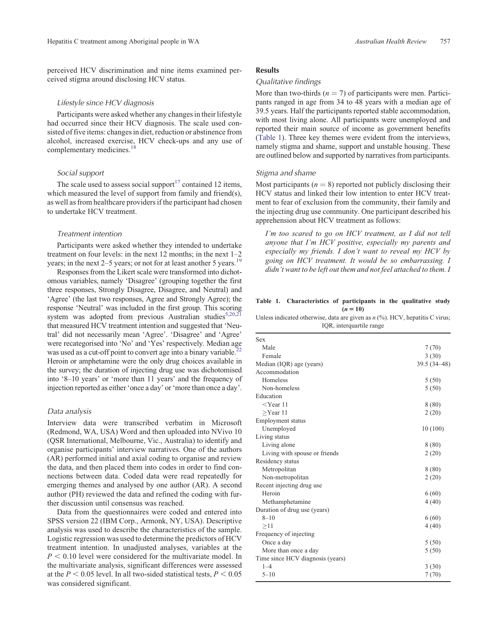perceived HCV discrimination and nine items examined perceived stigma around disclosing HCV status.

#### Lifestyle since HCV diagnosis

Participants were asked whether any changes in their lifestyle had occurred since their HCV diagnosis. The scale used consisted of five items: changes in diet, reduction or abstinence from alcohol, increased exercise, HCV check-ups and any use of complementary medicines.<sup>[18](#page-7-0)</sup>

## Social support

The scale used to assess social support<sup>[17](#page-7-0)</sup> contained 12 items, which measured the level of support from family and friend(s), as well as from healthcare providers if the participant had chosen to undertake HCV treatment.

#### Treatment intention

Participants were asked whether they intended to undertake treatment on four levels: in the next 12 months; in the next 1–2 years; in the next 2–5 years; or not for at least another 5 years.<sup>[19](#page-7-0)</sup>

Responses from the Likert scale were transformed into dichotomous variables, namely 'Disagree' (grouping together the first three responses, Strongly Disagree, Disagree, and Neutral) and 'Agree' (the last two responses, Agree and Strongly Agree); the response 'Neutral' was included in the first group. This scoring system was adopted from previous Australian studies $5,20,21$  $5,20,21$ that measured HCV treatment intention and suggested that 'Neutral' did not necessarily mean 'Agree'. 'Disagree' and 'Agree' were recategorised into 'No' and 'Yes' respectively. Median age was used as a cut-off point to convert age into a binary variable.<sup>[22](#page-8-0)</sup> Heroin or amphetamine were the only drug choices available in the survey; the duration of injecting drug use was dichotomised into '8–10 years' or 'more than 11 years' and the frequency of injection reported as either 'once a day' or 'more than once a day'.

## Data analysis

Interview data were transcribed verbatim in Microsoft (Redmond, WA, USA) Word and then uploaded into NVivo 10 (QSR International, Melbourne, Vic., Australia) to identify and organise participants' interview narratives. One of the authors (AR) performed initial and axial coding to organise and review the data, and then placed them into codes in order to find connections between data. Coded data were read repeatedly for emerging themes and analysed by one author (AR). A second author (PH) reviewed the data and refined the coding with further discussion until consensus was reached.

Data from the questionnaires were coded and entered into SPSS version 22 (IBM Corp., Armonk, NY, USA). Descriptive analysis was used to describe the characteristics of the sample. Logistic regression was used to determine the predictors of HCV treatment intention. In unadjusted analyses, variables at the  $P \leq 0.10$  level were considered for the multivariate model. In the multivariate analysis, significant differences were assessed at the  $P < 0.05$  level. In all two-sided statistical tests,  $P < 0.05$ was considered significant.

## Results

#### Qualitative findings

More than two-thirds ( $n = 7$ ) of participants were men. Participants ranged in age from 34 to 48 years with a median age of 39.5 years. Half the participants reported stable accommodation, with most living alone. All participants were unemployed and reported their main source of income as government benefits (Table 1). Three key themes were evident from the interviews, namely stigma and shame, support and unstable housing. These are outlined below and supported by narratives from participants.

#### Stigma and shame

Most participants  $(n = 8)$  reported not publicly disclosing their HCV status and linked their low intention to enter HCV treatment to fear of exclusion from the community, their family and the injecting drug use community. One participant described his apprehension about HCV treatment as follows:

*I'm too scared to go on HCV treatment, as I did not tell anyone that I'm HCV positive, especially my parents and especially my friends. I don't want to reveal my HCV by going on HCV treatment. It would be so embarrassing. I didn't want to be left out them and not feel attached to them. I*

#### **Table 1. Characteristics of participants in the qualitative study**  $(n = 10)$

Unless indicated otherwise, data are given as  $n$  (%). HCV, hepatitis C virus; IQR, interquartile range

| Sex                              |              |
|----------------------------------|--------------|
| Male                             | 7(70)        |
| Female                           | 3(30)        |
| Median (IQR) age (years)         | 39.5 (34-48) |
| Accommodation                    |              |
| Homeless                         | 5(50)        |
| Non-homeless                     | 5(50)        |
| Education                        |              |
| $<$ Year 11                      | 8(80)        |
| $>$ Year 11                      | 2(20)        |
| <b>Employment</b> status         |              |
| Unemployed                       | 10(100)      |
| Living status                    |              |
| Living alone                     | 8 (80)       |
| Living with spouse or friends    | 2(20)        |
| Residency status                 |              |
| Metropolitan                     | 8(80)        |
| Non-metropolitan                 | 2(20)        |
| Recent injecting drug use        |              |
| Heroin                           | 6(60)        |
| Methamphetamine                  | 4(40)        |
| Duration of drug use (years)     |              |
| $8 - 10$                         | 6(60)        |
| >11                              | 4(40)        |
| Frequency of injecting           |              |
| Once a day                       | 5(50)        |
| More than once a day             | 5(50)        |
| Time since HCV diagnosis (years) |              |
| $1 - 4$                          | 3(30)        |
| $5 - 10$                         | 7(70)        |
|                                  |              |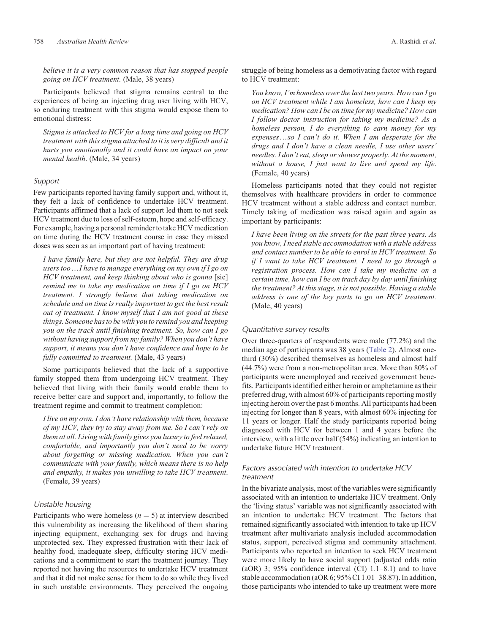*believe it is a very common reason that has stopped people going on HCV treatment.* (Male, 38 years)

Participants believed that stigma remains central to the experiences of being an injecting drug user living with HCV, so enduring treatment with this stigma would expose them to emotional distress:

*Stigma is attached to HCV for a long time and going on HCV treatment with this stigma attached to it is very difficult and it hurts you emotionally and it could have an impact on your mental health*. (Male, 34 years)

## Support

Few participants reported having family support and, without it, they felt a lack of confidence to undertake HCV treatment. Participants affirmed that a lack of support led them to not seek HCV treatment due to loss of self-esteem, hope and self-efficacy. For example, having a personal reminder to take HCV medication on time during the HCV treatment course in case they missed doses was seen as an important part of having treatment:

*I have family here, but they are not helpful. They are drug users too*y*I have to manage everything on my own if I go on HCV treatment, and keep thinking about who is gonna* [sic] *remind me to take my medication on time if I go on HCV treatment. I strongly believe that taking medication on schedule and on time is really important to get the best result out of treatment. I know myself that I am not good at these things. Someone has to be with you to remind you and keeping you on the track until finishing treatment. So, how can I go without having support from my family? When you don't have support, it means you don't have confidence and hope to be fully committed to treatment.* (Male, 43 years)

Some participants believed that the lack of a supportive family stopped them from undergoing HCV treatment. They believed that living with their family would enable them to receive better care and support and, importantly, to follow the treatment regime and commit to treatment completion:

*I live on my own. I don't have relationship with them, because of my HCV, they try to stay away from me. So I can't rely on them at all. Living with family gives you luxury to feel relaxed, comfortable, and importantly you don't need to be worry about forgetting or missing medication. When you can't communicate with your family, which means there is no help and empathy, it makes you unwilling to take HCV treatment*. (Female, 39 years)

## Unstable housing

Participants who were homeless  $(n = 5)$  at interview described this vulnerability as increasing the likelihood of them sharing injecting equipment, exchanging sex for drugs and having unprotected sex. They expressed frustration with their lack of healthy food, inadequate sleep, difficulty storing HCV medications and a commitment to start the treatment journey. They reported not having the resources to undertake HCV treatment and that it did not make sense for them to do so while they lived in such unstable environments. They perceived the ongoing struggle of being homeless as a demotivating factor with regard to HCV treatment:

*You know, I'm homeless over the last two years. How can I go on HCV treatment while I am homeless, how can I keep my medication? How can I be on time for my medicine? How can I follow doctor instruction for taking my medicine? As a homeless person, I do everything to earn money for my* expenses...so I can't do it. When I am desperate for the *drugs and I don't have a clean needle, I use other users' needles. I don't eat, sleep or shower properly. At the moment, without a house, I just want to live and spend my life*. (Female, 40 years)

Homeless participants noted that they could not register themselves with healthcare providers in order to commence HCV treatment without a stable address and contact number. Timely taking of medication was raised again and again as important by participants:

*I have been living on the streets for the past three years. As you know, I need stable accommodation with a stable address and contact number to be able to enrol in HCV treatment. So if I want to take HCV treatment, I need to go through a registration process. How can I take my medicine on a certain time, how can I be on track day by day until finishing the treatment? At this stage, it is not possible. Having a stable address is one of the key parts to go on HCV treatment.* (Male, 40 years)

#### Quantitative survey results

Over three-quarters of respondents were male (77.2%) and the median age of participants was 38 years ([Table 2](#page-5-0)). Almost onethird (30%) described themselves as homeless and almost half (44.7%) were from a non-metropolitan area. More than 80% of participants were unemployed and received government benefits. Participants identified either heroin or amphetamine as their preferred drug, with almost 60% of participants reporting mostly injecting heroin over the past 6 months. All participants had been injecting for longer than 8 years, with almost 60% injecting for 11 years or longer. Half the study participants reported being diagnosed with HCV for between 1 and 4 years before the interview, with a little over half (54%) indicating an intention to undertake future HCV treatment.

## Factors associated with intention to undertake HCV treatment

In the bivariate analysis, most of the variables were significantly associated with an intention to undertake HCV treatment. Only the 'living status' variable was not significantly associated with an intention to undertake HCV treatment. The factors that remained significantly associated with intention to take up HCV treatment after multivariate analysis included accommodation status, support, perceived stigma and community attachment. Participants who reported an intention to seek HCV treatment were more likely to have social support (adjusted odds ratio (aOR) 3;  $95\%$  confidence interval (CI) 1.1–8.1) and to have stable accommodation (aOR 6; 95% CI 1.01–38.87). In addition, those participants who intended to take up treatment were more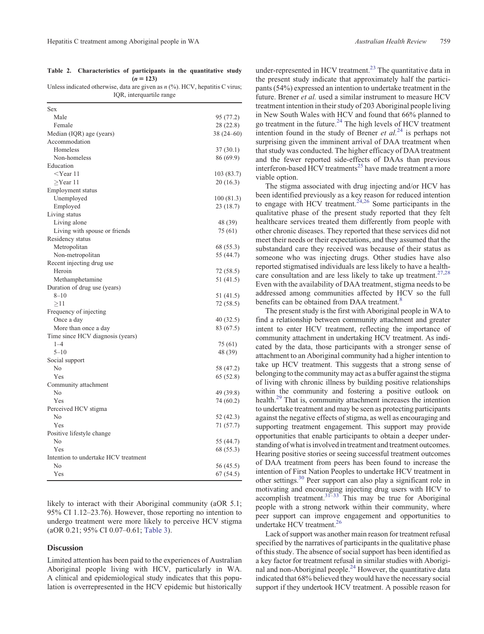<span id="page-5-0"></span>**Table 2. Characteristics of participants in the quantitative study**  $(n = 123)$ 

Unless indicated otherwise, data are given as *n* (%). HCV, hepatitis C virus; IQR, interquartile range

| Sex                                  |               |
|--------------------------------------|---------------|
| Male                                 | 95 (77.2)     |
| Female                               | 28 (22.8)     |
| Median (IQR) age (years)             | $38(24 - 60)$ |
| Accommodation                        |               |
| Homeless                             | 37 (30.1)     |
| Non-homeless                         | 86 (69.9)     |
| Education                            |               |
| $<$ Year 11                          | 103 (83.7)    |
| >Year 11                             | 20 (16.3)     |
| Employment status                    |               |
| Unemployed                           | 100 (81.3)    |
| Employed                             | 23 (18.7)     |
| Living status                        |               |
| Living alone                         | 48 (39)       |
| Living with spouse or friends        | 75 (61)       |
| Residency status                     |               |
| Metropolitan                         | 68 (55.3)     |
| Non-metropolitan                     | 55 (44.7)     |
| Recent injecting drug use            |               |
| Heroin                               | 72 (58.5)     |
| Methamphetamine                      | 51 (41.5)     |
| Duration of drug use (years)         |               |
| $8 - 10$                             | 51 (41.5)     |
| >11                                  | 72 (58.5)     |
| Frequency of injecting               |               |
| Once a day                           | 40 (32.5)     |
| More than once a day                 | 83 (67.5)     |
| Time since HCV diagnosis (years)     |               |
| $1 - 4$                              | 75 (61)       |
| $5 - 10$                             | 48 (39)       |
| Social support                       |               |
| N <sub>0</sub>                       | 58 (47.2)     |
| Yes                                  | 65 (52.8)     |
| Community attachment                 |               |
| N <sub>0</sub>                       | 49 (39.8)     |
| Yes                                  | 74 (60.2)     |
| Perceived HCV stigma                 |               |
| N <sub>0</sub>                       | 52 (42.3)     |
| Yes                                  | 71 (57.7)     |
| Positive lifestyle change            |               |
| No                                   | 55 (44.7)     |
| Yes                                  | 68 (55.3)     |
| Intention to undertake HCV treatment |               |
| N <sub>0</sub>                       | 56 (45.5)     |
| Yes                                  | 67(54.5)      |

likely to interact with their Aboriginal community (aOR 5.1; 95% CI 1.12–23.76). However, those reporting no intention to undergo treatment were more likely to perceive HCV stigma (aOR 0.21; 95% CI 0.07–0.61; [Table 3](#page-6-0)).

## Discussion

Limited attention has been paid to the experiences of Australian Aboriginal people living with HCV, particularly in WA. A clinical and epidemiological study indicates that this population is overrepresented in the HCV epidemic but historically under-represented in HCV treatment.<sup>[23](#page-8-0)</sup> The quantitative data in the present study indicate that approximately half the participants (54%) expressed an intention to undertake treatment in the future. Brener *et al.* used a similar instrument to measure HCV treatment intention in their study of 203 Aboriginal people living in New South Wales with HCV and found that 66% planned to go treatment in the future. $24$  The high levels of HCV treatment intention found in the study of Brener *et al.*<sup>[24](#page-8-0)</sup> is perhaps not surprising given the imminent arrival of DAA treatment when that study was conducted. The higher efficacy of DAA treatment and the fewer reported side-effects of DAAs than previous interferon-based  $\text{HCV}$  treatments<sup>[25](#page-8-0)</sup> have made treatment a more viable option.

The stigma associated with drug injecting and/or HCV has been identified previously as a key reason for reduced intention to engage with HCV treatment.<sup>[24,26](#page-8-0)</sup> Some participants in the qualitative phase of the present study reported that they felt healthcare services treated them differently from people with other chronic diseases. They reported that these services did not meet their needs or their expectations, and they assumed that the substandard care they received was because of their status as someone who was injecting drugs. Other studies have also reported stigmatised individuals are less likely to have a health-care consultation and are less likely to take up treatment.<sup>[27,28](#page-8-0)</sup> Even with the availability of DAA treatment, stigma needs to be addressed among communities affected by HCV so the full benefits can be obtained from DAA treatment.<sup>[8](#page-7-0)</sup>

The present study is the first with Aboriginal people in WA to find a relationship between community attachment and greater intent to enter HCV treatment, reflecting the importance of community attachment in undertaking HCV treatment. As indicated by the data, those participants with a stronger sense of attachment to an Aboriginal community had a higher intention to take up HCV treatment. This suggests that a strong sense of belonging to the community may act as a buffer against the stigma of living with chronic illness by building positive relationships within the community and fostering a positive outlook on health.[29](#page-8-0) That is, community attachment increases the intention to undertake treatment and may be seen as protecting participants against the negative effects of stigma, as well as encouraging and supporting treatment engagement. This support may provide opportunities that enable participants to obtain a deeper understanding of what is involved in treatment and treatment outcomes. Hearing positive stories or seeing successful treatment outcomes of DAA treatment from peers has been found to increase the intention of First Nation Peoples to undertake HCV treatment in other settings[.30](#page-8-0) Peer support can also play a significant role in motivating and encouraging injecting drug users with HCV to accomplish treatment. $31-33$  This may be true for Aboriginal people with a strong network within their community, where peer support can improve engagement and opportunities to undertake HCV treatment.<sup>26</sup>

Lack of support was another main reason for treatment refusal specified by the narratives of participants in the qualitative phase of this study. The absence of social support has been identified as a key factor for treatment refusal in similar studies with Aborigi-nal and non-Aboriginal people.<sup>[24](#page-8-0)</sup> However, the quantitative data indicated that 68% believed they would have the necessary social support if they undertook HCV treatment. A possible reason for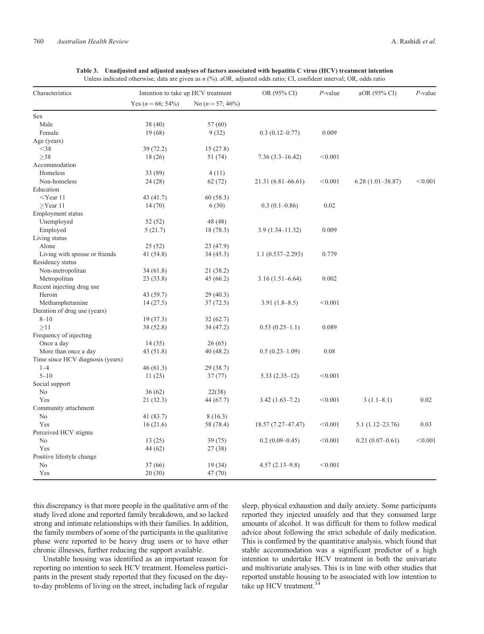<span id="page-6-0"></span>

| Characteristics                  | Intention to take up HCV treatment |                     | OR (95% CI)           | $P$ -value | aOR (95% CI)       | $P$ -value |
|----------------------------------|------------------------------------|---------------------|-----------------------|------------|--------------------|------------|
|                                  | Yes $(n = 66; 54\%)$               | No $(n = 57; 46\%)$ |                       |            |                    |            |
| Sex                              |                                    |                     |                       |            |                    |            |
| Male                             | 38(40)                             | 57 (60)             |                       |            |                    |            |
| Female                           | 19(68)                             | 9(32)               | $0.3(0.12 - 0.77)$    | 0.009      |                    |            |
| Age (years)                      |                                    |                     |                       |            |                    |            |
| $<$ 38                           | 39 (72.2)                          | 15(27.8)            |                       |            |                    |            |
| >38                              | 18(26)                             | 51 (74)             | $7.36(3.3 - 16.42)$   | < 0.001    |                    |            |
| Accommodation                    |                                    |                     |                       |            |                    |            |
| Homeless                         | 33 (89)                            | 4(11)               |                       |            |                    |            |
| Non-homeless                     | 24 (28)                            | 62(72)              | 21.31 (6.81-66.61)    | < 0.001    | $6.28(1.01-38.87)$ | < 0.001    |
| Education                        |                                    |                     |                       |            |                    |            |
| $<$ Year 11                      | 43 (41.7)                          | 60(58.3)            |                       |            |                    |            |
| $>$ Year 11                      | 14(70)                             | 6(30)               | $0.3(0.1-0.86)$       | 0.02       |                    |            |
| Employment status                |                                    |                     |                       |            |                    |            |
| Unemployed                       | 52 (52)                            | 48 (48)             |                       |            |                    |            |
| Employed                         | 5(21.7)                            | 18 (78.3)           | $3.9(1.34 - 11.32)$   | 0.009      |                    |            |
| Living status                    |                                    |                     |                       |            |                    |            |
| Alone                            | 25(52)                             | 23 (47.9)           |                       |            |                    |            |
| Living with spouse or friends    | 41 (54.8)                          | 34 (45.3)           | $1.1(0.537 - 2.293)$  | 0.779      |                    |            |
| Residency status                 |                                    |                     |                       |            |                    |            |
| Non-metropolitan                 | 34(61.8)                           | 21 (38.2)           |                       |            |                    |            |
| Metropolitan                     | 23 (33.8)                          | 45(66.2)            | $3.16(1.51 - 6.64)$   | 0.002      |                    |            |
| Recent injecting drug use        |                                    |                     |                       |            |                    |            |
| Heroin                           | 43 (59.7)                          | 29(40.3)            |                       |            |                    |            |
| Methamphetamine                  | 14(27.5)                           | 37(72.5)            | $3.91(1.8 - 8.5)$     | < 0.001    |                    |            |
| Duration of drug use (years)     |                                    |                     |                       |            |                    |            |
| $8 - 10$                         | 19(37.3)                           | 32(62.7)            |                       |            |                    |            |
| >11                              | 38 (52.8)                          | 34(47.2)            | $0.53(0.25-1.1)$      | 0.089      |                    |            |
| Frequency of injecting           |                                    |                     |                       |            |                    |            |
| Once a day                       | 14(35)                             | 26(65)              |                       |            |                    |            |
| More than once a day             | 43(51.8)                           | 40(48.2)            | $0.5(0.23-1.09)$      | 0.08       |                    |            |
| Time since HCV diagnosis (years) |                                    |                     |                       |            |                    |            |
| $1 - 4$                          | 46(61.3)                           | 29 (38.7)           |                       |            |                    |            |
| $5 - 10$                         | 11(23)                             | 37(77)              | $5.33(2.35-12)$       | < 0.001    |                    |            |
| Social support                   |                                    |                     |                       |            |                    |            |
| No                               | 36(62)                             | 22(38)              |                       |            |                    |            |
| Yes                              | 21(32.3)                           | 44 (67.7)           | $3.42(1.63 - 7.2)$    | < 0.001    | $3(1.1-8.1)$       | 0.02       |
| Community attachment             |                                    |                     |                       |            |                    |            |
| No                               | 41 (83.7)                          | 8(16.3)             |                       |            |                    |            |
| Yes                              | 16(21.6)                           | 58 (78.4)           | $18.57(7.27 - 47.47)$ | < 0.001    | $5.1(1.12-23.76)$  | 0.03       |
| Perceived HCV stigma             |                                    |                     |                       |            |                    |            |
| No                               | 13(25)                             | 39(75)              | $0.2(0.09-0.45)$      | < 0.001    | $0.21(0.07-0.61)$  | < 0.001    |
| Yes                              | 44 (62)                            | 27 (38)             |                       |            |                    |            |
| Positive lifestyle change        |                                    |                     |                       |            |                    |            |
| No                               | 37(66)                             | 19(34)              | $4.57(2.13-9.8)$      | < 0.001    |                    |            |
| Yes                              | 20(30)                             | 47 (70)             |                       |            |                    |            |

**Table 3. Unadjusted and adjusted analyses of factors associated with hepatitis C virus (HCV) treatment intention** Unless indicated otherwise, data are given as *n* (%). aOR, adjusted odds ratio; CI, confident interval; OR, odds ratio

this discrepancy is that more people in the qualitative arm of the study lived alone and reported family breakdown, and so lacked strong and intimate relationships with their families. In addition, the family members of some of the participants in the qualitative phase were reported to be heavy drug users or to have other chronic illnesses, further reducing the support available.

Unstable housing was identified as an important reason for reporting no intention to seek HCV treatment. Homeless participants in the present study reported that they focused on the dayto-day problems of living on the street, including lack of regular sleep, physical exhaustion and daily anxiety. Some participants reported they injected unsafely and that they consumed large amounts of alcohol. It was difficult for them to follow medical advice about following the strict schedule of daily medication. This is confirmed by the quantitative analysis, which found that stable accommodation was a significant predictor of a high intention to undertake HCV treatment in both the univariate and multivariate analyses. This is in line with other studies that reported unstable housing to be associated with low intention to take up HCV treatment.<sup>34</sup>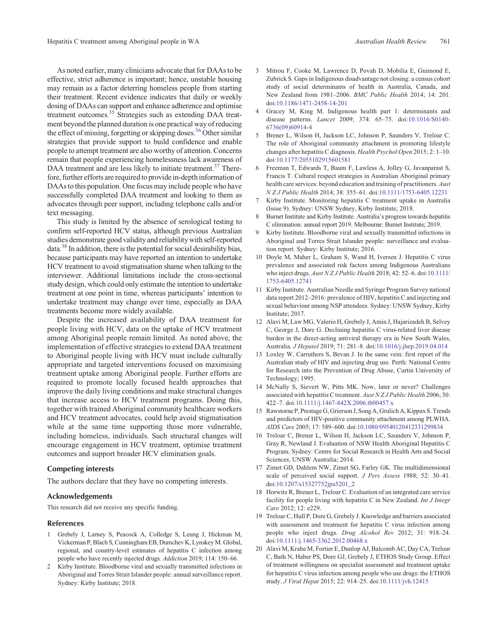<span id="page-7-0"></span>As noted earlier, many clinicians advocate that for DAAs to be effective, strict adherence is important; hence, unstable housing may remain as a factor deterring homeless people from starting their treatment. Recent evidence indicates that daily or weekly dosing of DAAs can support and enhance adherence and optimise treatment outcomes.<sup>35</sup> Strategies such as extending DAA treatment beyond the planned duration is one practical way of reducing the effect of missing, forgetting or skipping doses.<sup>36</sup> Other similar strategies that provide support to build confidence and enable people to attempt treatment are also worthy of attention. Concerns remain that people experiencing homelessness lack awareness of DAA treatment and are less likely to initiate treatment.<sup>37</sup> Therefore, further efforts are required to provide in-depth information of DAAs to this population. One focus may include people who have successfully completed DAA treatment and looking to them as advocates through peer support, including telephone calls and/or text messaging.

This study is limited by the absence of serological testing to confirm self-reported HCV status, although previous Australian studies demonstrate good validity and reliability with self-reported data.<sup>[38](#page-8-0)</sup> In addition, there is the potential for social desirability bias, because participants may have reported an intention to undertake HCV treatment to avoid stigmatisation shame when talking to the interviewer. Additional limitations include the cross-sectional study design, which could only estimate the intention to undertake treatment at one point in time, whereas participants' intention to undertake treatment may change over time, especially as DAA treatments become more widely available.

Despite the increased availability of DAA treatment for people living with HCV, data on the uptake of HCV treatment among Aboriginal people remain limited. As noted above, the implementation of effective strategies to extend DAA treatment to Aboriginal people living with HCV must include culturally appropriate and targeted interventions focused on maximising treatment uptake among Aboriginal people. Further efforts are required to promote locally focused health approaches that improve the daily living conditions and make structural changes that increase access to HCV treatment programs. Doing this, together with trained Aboriginal community healthcare workers and HCV treatment advocates, could help avoid stigmatisation while at the same time supporting those more vulnerable, including homeless, individuals. Such structural changes will encourage engagement in HCV treatment, optimise treatment outcomes and support broader HCV elimination goals.

#### Competing interests

The authors declare that they have no competing interests.

## Acknowledgements

This research did not receive any specific funding.

#### References

- 1 Grebely J, Larney S, Peacock A, Colledge S, Leung J, Hickman M, Vickerman P, Blach S, Cunningham EB, Dumchev K, Lynskey M. Global, regional, and country-level estimates of hepatitis C infection among people who have recently injected drugs. *Addiction* 2019; 114: 150–66.
- 2 Kirby Institute. Bloodborne viral and sexually transmitted infections in Aboriginal and Torres Strait Islander people: annual surveillance report. Sydney: Kirby Institute; 2018.
- 3 Mitrou F, Cooke M, Lawrence D, Povah D, Mobilia E, Guimond E, Zubrick S. Gaps in Indigenous disadvantage not closing: a census cohort study of social determinants of health in Australia, Canada, and New Zealand from 1981–2006. *BMC Public Health* 2014; 14: 201. doi[:10.1186/1471-2458-14-201](http://dx.doi.org/10.1186/1471-2458-14-201)
- 4 Gracey M, King M. Indigenous health part 1: determinants and disease patterns. *Lancet* 2009; 374: 65–75. doi[:10.1016/S0140-](http://dx.doi.org/10.1016/S0140-6736(09)60914-4) [6736\(09\)60914-4](http://dx.doi.org/10.1016/S0140-6736(09)60914-4)
- 5 Brener L, Wilson H, Jackson LC, Johnson P, Saunders V, Treloar C. The role of Aboriginal community attachment in promoting lifestyle changes after hepatitis C diagnosis. *Health Psychol Open* 2015; 2: 1–10. doi[:10.1177/2055102915601581](http://dx.doi.org/10.1177/2055102915601581)
- 6 Freeman T, Edwards T, Baum F, Lawless A, Jolley G, Javanparast S, Francis T. Cultural respect strategies in Australian Aboriginal primary health care services: beyond education and training of practitioners. *Aust N Z J Public Health* 2014; 38: 355–61. doi:[10.1111/1753-6405.12231](http://dx.doi.org/10.1111/1753-6405.12231)
- 7 Kirby Institute. Monitoring hepatitis C treatment uptake in Australia (Issue 9). Sydney: UNSW Sydney, Kirby Institute; 2018.
- 8 Burnet Institute and Kirby Institute. Australia's progress towards hepatitis C elimination: annual report 2019. Melbourne: Burnet Institute; 2019.
- 9 Kirby Institute. Bloodborne viral and sexually transmitted infections in Aboriginal and Torres Strait Islander people: surveillance and evaluation report. Sydney: Kirby Institute; 2016.
- 10 Doyle M, Maher L, Graham S, Wand H, Iversen J. Hepatitis C virus prevalence and associated risk factors among Indigenous Australians who inject drugs. *Aust N Z J Public Health* 2018; 42: 52–6. doi[:10.1111/](http://dx.doi.org/10.1111/1753-6405.12741) [1753-6405.12741](http://dx.doi.org/10.1111/1753-6405.12741)
- 11 Kirby Institute. Australian Needle and Syringe Program Survey national data report 2012–2016: prevalence of HIV, hepatitis C and injecting and sexual behaviour among NSP attendees. Sydney: UNSW Sydney, Kirby Institute; 2017.
- 12 Alavi M, Law MG, Valerio H, Grebely J, Amin J, Hajarizadeh B, Selvey C, George J, Dore G. Declining hepatitis C virus-related liver disease burden in the direct-acting antiviral therapy era in New South Wales, Australia. *J Hepatol* 2019; 71: 281–8. doi[:10.1016/j.jhep.2019.04.014](http://dx.doi.org/10.1016/j.jhep.2019.04.014)
- 13 Loxley W, Carruthers S, Bevan J. In the same vein: first report of the Australian study of HIV and injecting drug use. Perth: National Centre for Research into the Prevention of Drug Abuse, Curtin University of Technology; 1995.
- 14 McNally S, Sievert W, Pitts MK. Now, later or never? Challenges associated with hepatitis C treatment. *Aust N Z J Public Health* 2006; 30: 422–7. doi:[10.1111/j.1467-842X.2006.tb00457.x](http://dx.doi.org/10.1111/j.1467-842X.2006.tb00457.x)
- 15 Rawstorne P, Prestage G, Grierson J, Song A, Grulich A, Kippax S. Trends and predictors of HIV-positive community attachment among PLWHA. *AIDS Care* 2005; 17: 589–600. doi[:10.1080/09540120412331299834](http://dx.doi.org/10.1080/09540120412331299834)
- 16 Treloar C, Brener L, Wilson H, Jackson LC, Saunders V, Johnson P, Gray R, Newland J. Evaluation of NSW Health Aboriginal Hepatitis C Program. Sydney: Centre for Social Research in Health Arts and Social Sciences, UNSW Australia; 2014.
- 17 Zimet GD, Dahlem NW, Zimet SG, Farley GK. The multidimensional scale of perceived social support. *J Pers Assess* 1988; 52: 30–41. doi[:10.1207/s15327752jpa5201\\_2](http://dx.doi.org/10.1207/s15327752jpa5201_2)
- 18 Horwitz R, Brener L, Treloar C. Evaluation of an integrated care service facility for people living with hepatitis C in New Zealand. *Int J Integr Care* 2012; 12: e229.
- 19 Treloar C, Hull P, Dore G, Grebely J. Knowledge and barriers associated with assessment and treatment for hepatitis C virus infection among people who inject drugs. *Drug Alcohol Rev* 2012; 31: 918–24. doi[:10.1111/j.1465-3362.2012.00468.x](http://dx.doi.org/10.1111/j.1465-3362.2012.00468.x)
- 20 Alavi M, Krahe M, Fortier E, Dunlop AJ, Balcomb AC, Day CA, Treloar C, Bath N, Haber PS, Dore GJ, Grebely J, ETHOS Study Group. Effect of treatment willingness on specialist assessment and treatment uptake for hepatitis C virus infection among people who use drugs: the ETHOS study. *J Viral Hepat* 2015; 22: 914–25. doi[:10.1111/jvh.12415](http://dx.doi.org/10.1111/jvh.12415)